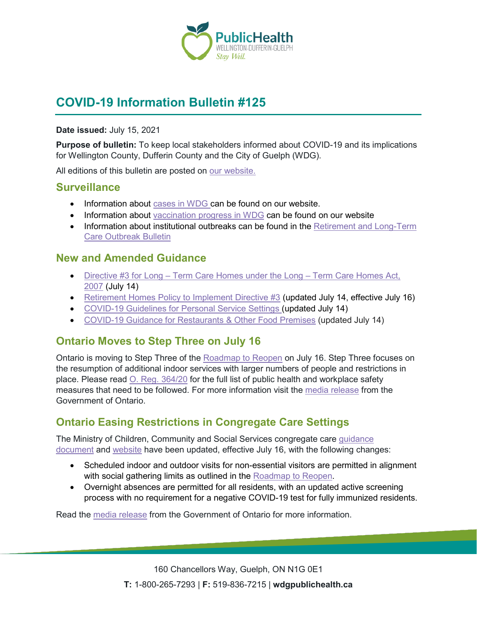

# **COVID-19 Information Bulletin #125**

#### **Date issued:** July 15, 2021

**Purpose of bulletin:** To keep local stakeholders informed about COVID-19 and its implications for Wellington County, Dufferin County and the City of Guelph (WDG).

All editions of this bulletin are posted on [our website.](https://www.wdgpublichealth.ca/your-health/covid-19-information-workplaces-and-living-spaces/community-stakeholder-bulletins)

### **Surveillance**

- Information about [cases in WDG](https://wdgpublichealth.ca/your-health/covid-19-information-public/status-cases-wdg) can be found on our website.
- Information about [vaccination progress](https://www.wdgpublichealth.ca/your-health/covid-19-information-public/covid-19-vaccine-information-public) in WDG can be found on our website
- Information about institutional outbreaks can be found in the Retirement and Long-Term [Care Outbreak Bulletin](https://wdgpublichealth.ca/node/1542)

### **New and Amended Guidance**

- Directive #3 for Long [Term Care Homes under the Long –](https://www.health.gov.on.ca/en/pro/programs/publichealth/coronavirus/docs/directives/LTCH_HPPA.pdf) Term Care Homes Act, [2007](https://www.health.gov.on.ca/en/pro/programs/publichealth/coronavirus/docs/directives/LTCH_HPPA.pdf) (July 14)
- [Retirement Homes Policy to Implement Directive #3](https://www.rhra.ca/wp-content/uploads/2021/07/RH-Policy-to-Implement-Directive-3-Step_Final.pdf) (updated July 14, effective July 16)
- [COVID-19 Guidelines for Personal Service Settings](https://www.wdgpublichealth.ca/sites/default/files/wdg_pss_covid-19_guidelines_reopening_step_3_2021jul14.pdf) (updated July 14)
- [COVID-19 Guidance for Restaurants](https://www.wdgpublichealth.ca/sites/default/files/covid-19_guidance_restaurants_and_other_food_premises_-_reopening_step_3.pdf) & Other Food Premises (updated July 14)

## **Ontario Moves to Step Three on July 16**

Ontario is moving to Step Three of the [Roadmap to Reopen](https://www.ontario.ca/page/reopening-ontario) on July 16. Step Three focuses on the resumption of additional indoor services with larger numbers of people and restrictions in place. Please read [O. Reg. 364/20](https://www.ontario.ca/laws/regulation/200364) for the full list of public health and workplace safety measures that need to be followed. For more information visit the [media release](https://news.ontario.ca/en/release/1000501/ontario-moving-to-step-three-of-roadmap-to-reopen-on-july-16) from the Government of Ontario.

## **Ontario Easing Restrictions in Congregate Care Settings**

The Ministry of Children, Community and Social Services congregate care [guidance](http://www.mcss.gov.on.ca/en/mcss/CongregateCare_Guidelines.aspx)  [document](http://www.mcss.gov.on.ca/en/mcss/CongregateCare_Guidelines.aspx) and [website](http://www.mcss.gov.on.ca/en/mcss/CongregateCare.aspx) have been updated, effective July 16, with the following changes:

- Scheduled indoor and outdoor visits for non-essential visitors are permitted in alignment with social gathering limits as outlined in the [Roadmap to Reopen.](https://www.ontario.ca/page/reopening-ontario)
- Overnight absences are permitted for all residents, with an updated active screening process with no requirement for a negative COVID-19 test for fully immunized residents.

Read the [media release](https://news.ontario.ca/en/release/1000532/ontario-easing-restrictions-in-congregate-care-settings) from the Government of Ontario for more information.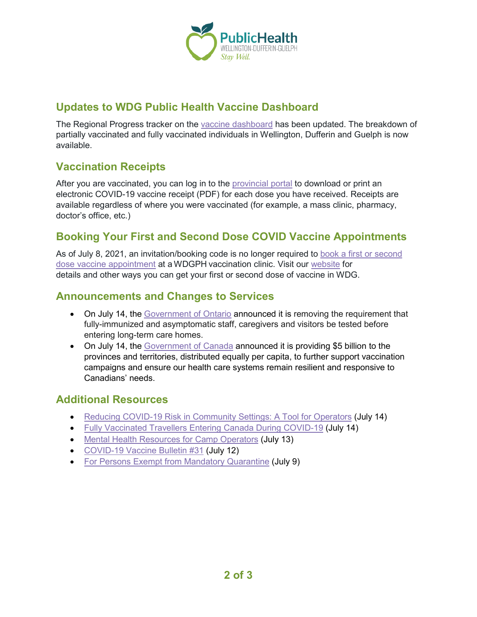

## **Updates to WDG Public Health Vaccine Dashboard**

The Regional Progress tracker on the [vaccine dashboard](https://www.wdgpublichealth.ca/your-health/covid-19-information-public/covid-19-vaccine-information/status-vaccinations-wdg) has been updated. The breakdown of partially vaccinated and fully vaccinated individuals in Wellington, Dufferin and Guelph is now available.

## **Vaccination Receipts**

After you are vaccinated, you can log in to the [provincial portal](https://covid19.ontariohealth.ca/) to download or print an electronic COVID-19 vaccine receipt (PDF) for each dose you have received. Receipts are available regardless of where you were vaccinated (for example, a mass clinic, pharmacy, doctor's office, etc.)

## **Booking Your First and Second Dose COVID Vaccine Appointments**

As of July 8, 2021, an invitation/booking code is no longer required to book a [first or second](https://wdgpublichealth.inputhealth.com/ebooking#new)  dose [vaccine appointment](https://wdgpublichealth.inputhealth.com/ebooking#new) at a WDGPH vaccination clinic. Visit our [website](https://www.wdgpublichealth.ca/your-health/covid-19-information-public/covid-19-vaccine-information/ways-get-your-first-or-second) for details and other ways you can get your first or second dose of vaccine in WDG.

### **Announcements and Changes to Services**

- On July 14, the [Government of Ontario](https://news.ontario.ca/en/release/1000520/ontario-updates-testing-requirements-at-long-term-care-homes) announced it is removing the requirement that fully-immunized and asymptomatic staff, caregivers and visitors be tested before entering long-term care homes.
- On July 14, the [Government of Canada](https://www.canada.ca/en/department-finance/news/2021/07/federal-government-delivers-5-billion-in-pandemic-support-to-provinces-and-territories-for-vaccines-and-health-care.html) announced it is providing \$5 billion to the provinces and territories, distributed equally per capita, to further support vaccination campaigns and ensure our health care systems remain resilient and responsive to Canadians' needs.

### **Additional Resources**

- [Reducing COVID-19 Risk in Community Settings: A Tool for Operators](https://health.canada.ca/en/public-health/services/diseases/2019-novel-coronavirus-infection/guidance-documents/reducing-covid-19-risk-community-settings-tool-operators.html) (July 14)
- [Fully Vaccinated Travellers Entering Canada During COVID-19](https://www.canada.ca/en/public-health/services/diseases/2019-novel-coronavirus-infection/awareness-resources/fully-vaccinated-travellers-covid-19.html) (July 14)
- [Mental Health Resources for Camp Operators](https://www.health.gov.on.ca/en/pro/programs/publichealth/coronavirus/docs/guidance_mental_health_resources_camp_operators.pdf) (July 13)
- [COVID-19 Vaccine Bulletin #31](https://www.wdgpublichealth.ca/sites/default/files/wdgph_covid-19_vaccine_bulletin_31_july_12_2021.pdf) (July 12)
- [For Persons Exempt from Mandatory Quarantine](https://www.canada.ca/en/public-health/services/publications/diseases-conditions/covid-19-information-essential-service-workers.html) (July 9)